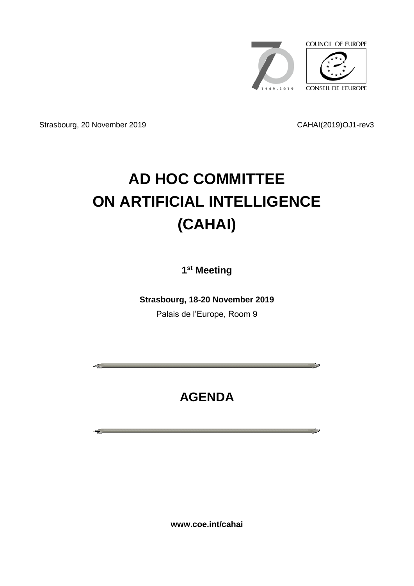

المتأثر المستحدث

**State State** 

Strasbourg, 20 November 2019 CAHAI(2019)OJ1-rev3

# **AD HOC COMMITTEE ON ARTIFICIAL INTELLIGENCE (CAHAI)**

**1 st Meeting**

**Strasbourg, 18-20 November 2019** Palais de l'Europe, Room 9

# **AGENDA**

**www.coe.int/cahai**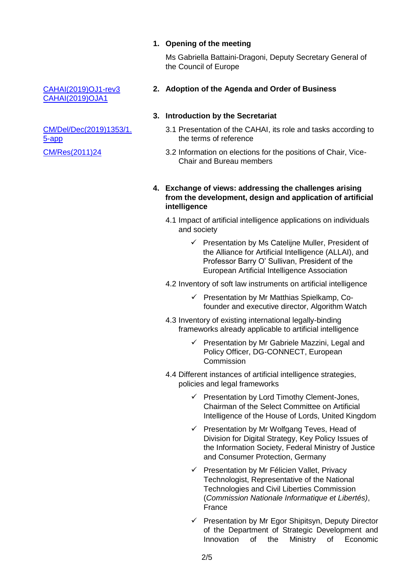#### **1. Opening of the meeting**

Ms Gabriella Battaini-Dragoni, Deputy Secretary General of the Council of Europe

#### **2. Adoption of the Agenda and Order of Business**

#### **3. Introduction by the Secretariat**

- 3.1 Presentation of the CAHAI, its role and tasks according to the terms of reference
- 3.2 Information on elections for the positions of Chair, Vice-Chair and Bureau members

#### **4. Exchange of views: addressing the challenges arising from the development, design and application of artificial intelligence**

- 4.1 Impact of artificial intelligence applications on individuals and society
	- $\checkmark$  Presentation by Ms Cateliine Muller, President of the Alliance for Artificial Intelligence (ALLAI), and Professor Barry O' Sullivan, President of the European Artificial Intelligence Association
- 4.2 Inventory of soft law instruments on artificial intelligence
	- $\checkmark$  Presentation by Mr Matthias Spielkamp, Cofounder and executive director, Algorithm Watch
- 4.3 Inventory of existing international legally-binding frameworks already applicable to artificial intelligence
	- $\checkmark$  Presentation by Mr Gabriele Mazzini, Legal and Policy Officer, DG-CONNECT, European **Commission**
- 4.4 Different instances of artificial intelligence strategies, policies and legal frameworks
	- $\checkmark$  Presentation by Lord Timothy Clement-Jones, Chairman of the Select Committee on Artificial Intelligence of the House of Lords, United Kingdom
	- $\checkmark$  Presentation by Mr Wolfgang Teves, Head of Division for Digital Strategy, Key Policy Issues of the Information Society, Federal Ministry of Justice and Consumer Protection, Germany
	- $\checkmark$  Presentation by Mr Félicien Vallet, Privacy Technologist, Representative of the National Technologies and Civil Liberties Commission (*Commission Nationale Informatique et Libertés)*, France
	- $\checkmark$  Presentation by Mr Egor Shipitsyn, Deputy Director of the Department of Strategic Development and Innovation of the Ministry of Economic

[CAHAI\(2019\)OJ1-rev3](https://rm.coe.int/cahai-2019-oj1rev3-e-agenda/168098d300) [CAHAI\(2019\)OJA1](https://rm.coe.int/cahai-2019-oja1-agendaannote-e/168098d0cc)

[CM/Del/Dec\(2019\)1353/1.](https://search.coe.int/cm/Pages/result_details.aspx?ObjectID=09000016809737a1) [5-app](https://search.coe.int/cm/Pages/result_details.aspx?ObjectID=09000016809737a1) [CM/Res\(2011\)24](https://rm.coe.int/ref/CM/Res(2011)24)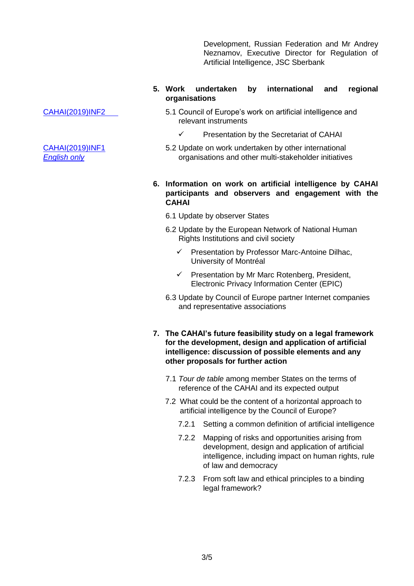Development, Russian Federation and Mr Andrey Neznamov, Executive Director for Regulation of Artificial Intelligence, JSC Sberbank

#### **5. Work undertaken by international and regional organisations**

- 5.1 Council of Europe's work on artificial intelligence and relevant instruments
	- Presentation by the Secretariat of CAHAI
- 5.2 Update on work undertaken by other international organisations and other multi-stakeholder initiatives

#### **6. Information on work on artificial intelligence by CAHAI participants and observers and engagement with the CAHAI**

- 6.1 Update by observer States
- 6.2 Update by the European Network of National Human Rights Institutions and civil society
	- $\checkmark$  Presentation by Professor Marc-Antoine Dilhac, University of Montréal
	- $\checkmark$  Presentation by Mr Marc Rotenberg, President, Electronic Privacy Information Center (EPIC)
- 6.3 Update by Council of Europe partner Internet companies and representative associations
- **7. The CAHAI's future feasibility study on a legal framework for the development, design and application of artificial intelligence: discussion of possible elements and any other proposals for further action**
	- 7.1 *Tour de table* among member States on the terms of reference of the CAHAI and its expected output
	- 7.2 What could be the content of a horizontal approach to artificial intelligence by the Council of Europe?
		- 7.2.1 Setting a common definition of artificial intelligence
		- 7.2.2 Mapping of risks and opportunities arising from development, design and application of artificial intelligence, including impact on human rights, rule of law and democracy
		- 7.2.3 From soft law and ethical principles to a binding legal framework?

[CAHAI\(2019\)INF2](https://rm.coe.int/cahai-2019-inf2-coe-action/168098bd13)

[CAHAI\(2019\)INF1](https://rm.coe.int/cahai-2019-inf1-002-/168098ad03) *English only*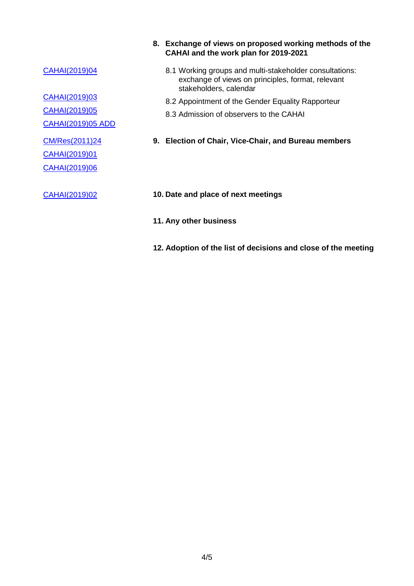#### [CAHAI\(2019\)04](https://rm.coe.int/cahai-2019-04-methods-en/168098cd68)

[CAHAI\(2019\)03](https://rm.coe.int/cahai-2019-03e-gender-equality-rapporteur/168098cbfd) [CAHAI\(2019\)05](https://rm.coe.int/cahai-2019-05-admission-of-observers-to-the-cahai/168098ad43)

[CAHAI\(2019\)05 ADD](https://rm.coe.int/cahai-2019-05-appendix-observer-requests/168098c88e)

[CM/Res\(2011\)24](https://rm.coe.int/ref/CM/Res(2011)24)

[CAHAI\(2019\)01](https://rm.coe.int/cahai-2019-01-election-bureau/168098ad06)

[CAHAI\(2019\)06](https://rm.coe.int/cahai-2019-06-candidates-for-positions/168098cd49)

- **8. Exchange of views on proposed working methods of the CAHAI and the work plan for 2019-2021**
	- 8.1 Working groups and multi-stakeholder consultations: exchange of views on principles, format, relevant stakeholders, calendar
	- 8.2 Appointment of the Gender Equality Rapporteur
	- 8.3 Admission of observers to the CAHAI
- **9. Election of Chair, Vice-Chair, and Bureau members**
- [CAHAI\(2019\)02](https://rm.coe.int/cahai-2019-02-meeting-dates-2020/168098ad08) **10. Date and place of next meetings**
	- **11. Any other business**
	- **12. Adoption of the list of decisions and close of the meeting**